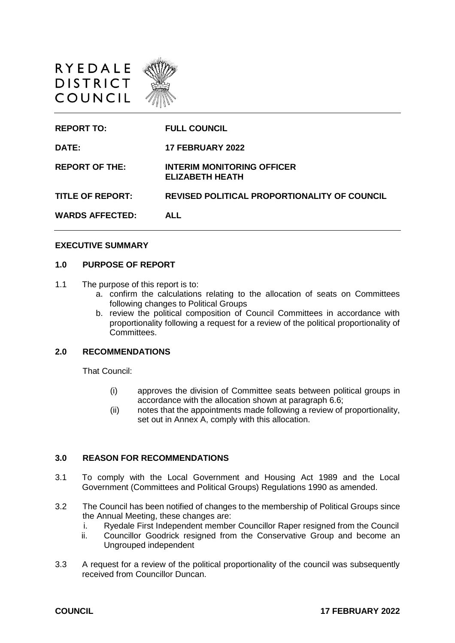



#### **EXECUTIVE SUMMARY**

#### **1.0 PURPOSE OF REPORT**

- 1.1 The purpose of this report is to:
	- a. confirm the calculations relating to the allocation of seats on Committees following changes to Political Groups
	- b. review the political composition of Council Committees in accordance with proportionality following a request for a review of the political proportionality of Committees.

#### **2.0 RECOMMENDATIONS**

That Council:

- (i) approves the division of Committee seats between political groups in accordance with the allocation shown at paragraph 6.6;
- (ii) notes that the appointments made following a review of proportionality, set out in Annex A, comply with this allocation.

#### **3.0 REASON FOR RECOMMENDATIONS**

- 3.1 To comply with the Local Government and Housing Act 1989 and the Local Government (Committees and Political Groups) Regulations 1990 as amended.
- 3.2 The Council has been notified of changes to the membership of Political Groups since the Annual Meeting, these changes are:
	- i. Ryedale First Independent member Councillor Raper resigned from the Council
	- ii. Councillor Goodrick resigned from the Conservative Group and become an Ungrouped independent
- 3.3 A request for a review of the political proportionality of the council was subsequently received from Councillor Duncan.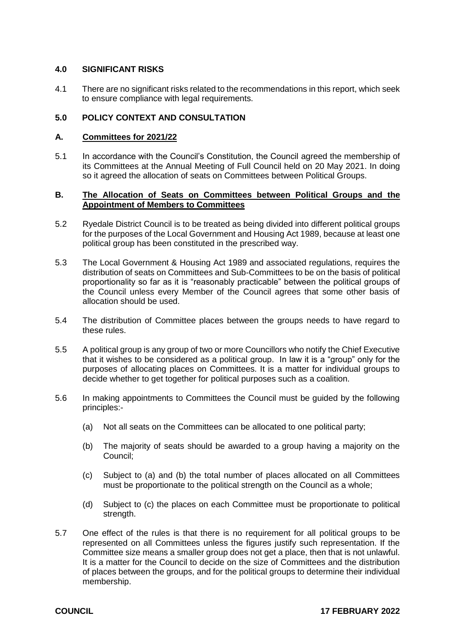#### **4.0 SIGNIFICANT RISKS**

4.1 There are no significant risks related to the recommendations in this report, which seek to ensure compliance with legal requirements.

#### **5.0 POLICY CONTEXT AND CONSULTATION**

#### **A. Committees for 2021/22**

5.1 In accordance with the Council's Constitution, the Council agreed the membership of its Committees at the Annual Meeting of Full Council held on 20 May 2021. In doing so it agreed the allocation of seats on Committees between Political Groups.

#### **B. The Allocation of Seats on Committees between Political Groups and the Appointment of Members to Committees**

- 5.2 Ryedale District Council is to be treated as being divided into different political groups for the purposes of the Local Government and Housing Act 1989, because at least one political group has been constituted in the prescribed way.
- 5.3 The Local Government & Housing Act 1989 and associated regulations, requires the distribution of seats on Committees and Sub-Committees to be on the basis of political proportionality so far as it is "reasonably practicable" between the political groups of the Council unless every Member of the Council agrees that some other basis of allocation should be used.
- 5.4 The distribution of Committee places between the groups needs to have regard to these rules.
- 5.5 A political group is any group of two or more Councillors who notify the Chief Executive that it wishes to be considered as a political group. In law it is a "group" only for the purposes of allocating places on Committees. It is a matter for individual groups to decide whether to get together for political purposes such as a coalition.
- 5.6 In making appointments to Committees the Council must be guided by the following principles:-
	- (a) Not all seats on the Committees can be allocated to one political party;
	- (b) The majority of seats should be awarded to a group having a majority on the Council;
	- (c) Subject to (a) and (b) the total number of places allocated on all Committees must be proportionate to the political strength on the Council as a whole;
	- (d) Subject to (c) the places on each Committee must be proportionate to political strength.
- 5.7 One effect of the rules is that there is no requirement for all political groups to be represented on all Committees unless the figures justify such representation. If the Committee size means a smaller group does not get a place, then that is not unlawful. It is a matter for the Council to decide on the size of Committees and the distribution of places between the groups, and for the political groups to determine their individual membership.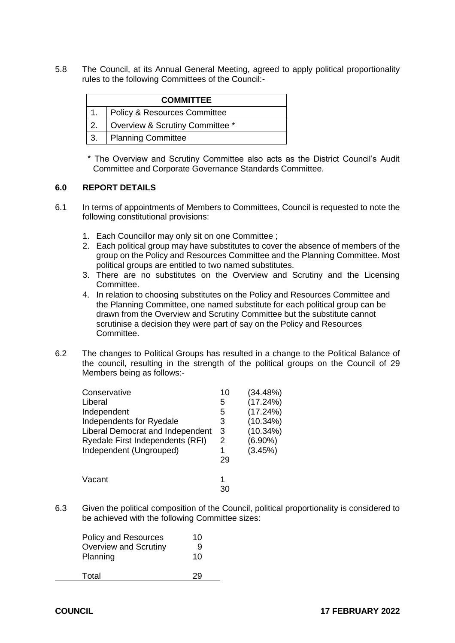5.8 The Council, at its Annual General Meeting, agreed to apply political proportionality rules to the following Committees of the Council:-

| <b>COMMITTEE</b> |                                   |  |  |  |
|------------------|-----------------------------------|--|--|--|
|                  | 1.   Policy & Resources Committee |  |  |  |
| 2.               | Overview & Scrutiny Committee *   |  |  |  |
| 3 <sub>1</sub>   | Planning Committee                |  |  |  |

\* The Overview and Scrutiny Committee also acts as the District Council's Audit Committee and Corporate Governance Standards Committee.

# **6.0 REPORT DETAILS**

- 6.1 In terms of appointments of Members to Committees, Council is requested to note the following constitutional provisions:
	- 1. Each Councillor may only sit on one Committee ;
	- 2. Each political group may have substitutes to cover the absence of members of the group on the Policy and Resources Committee and the Planning Committee. Most political groups are entitled to two named substitutes.
	- 3. There are no substitutes on the Overview and Scrutiny and the Licensing Committee.
	- 4. In relation to choosing substitutes on the Policy and Resources Committee and the Planning Committee, one named substitute for each political group can be drawn from the Overview and Scrutiny Committee but the substitute cannot scrutinise a decision they were part of say on the Policy and Resources Committee.
- 6.2 The changes to Political Groups has resulted in a change to the Political Balance of the council, resulting in the strength of the political groups on the Council of 29 Members being as follows:-

| Conservative                     | 10 | (34.48%)   |
|----------------------------------|----|------------|
| Liberal                          | 5  | (17.24%)   |
| Independent                      | 5  | (17.24%)   |
| Independents for Ryedale         | 3  | (10.34%)   |
| Liberal Democrat and Independent | 3  | (10.34%)   |
| Ryedale First Independents (RFI) | 2  | $(6.90\%)$ |
| Independent (Ungrouped)          | 1  | (3.45%)    |
|                                  | 29 |            |
| Vacant                           | 1  |            |
|                                  | 30 |            |

6.3 Given the political composition of the Council, political proportionality is considered to be achieved with the following Committee sizes:

| Policy and Resources         | 10 |
|------------------------------|----|
| <b>Overview and Scrutiny</b> | 9  |
| Planning                     | 10 |
| Total                        |    |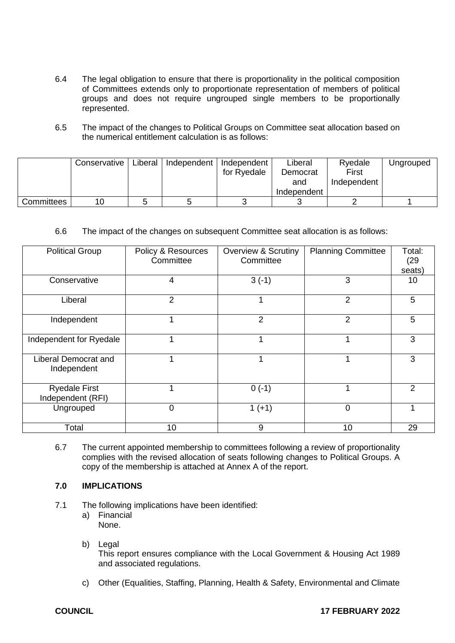- 6.4 The legal obligation to ensure that there is proportionality in the political composition of Committees extends only to proportionate representation of members of political groups and does not require ungrouped single members to be proportionally represented.
- 6.5 The impact of the changes to Political Groups on Committee seat allocation based on the numerical entitlement calculation is as follows:

|            | Conservative | Liberal | Independent | Independent<br>for Ryedale | Liberal<br>Democrat<br>and<br>Independent | Ryedale<br>First<br>Independent | Ungrouped |
|------------|--------------|---------|-------------|----------------------------|-------------------------------------------|---------------------------------|-----------|
| Committees | 10           |         |             |                            |                                           |                                 |           |

# 6.6 The impact of the changes on subsequent Committee seat allocation is as follows:

| <b>Political Group</b>                     | Policy & Resources<br>Committee | <b>Overview &amp; Scrutiny</b><br>Committee | <b>Planning Committee</b> | Total:<br>(29)<br>seats) |
|--------------------------------------------|---------------------------------|---------------------------------------------|---------------------------|--------------------------|
| Conservative                               | 4                               | $3(-1)$                                     | 3                         | 10                       |
| Liberal                                    | 2                               |                                             | 2                         | 5                        |
| Independent                                |                                 | 2                                           | 2                         | 5                        |
| Independent for Ryedale                    |                                 |                                             |                           | 3                        |
| <b>Liberal Democrat and</b><br>Independent |                                 |                                             |                           | 3                        |
| <b>Ryedale First</b><br>Independent (RFI)  |                                 | $0(-1)$                                     |                           | $\mathfrak{p}$           |
| Ungrouped                                  | 0                               | $1 (+1)$                                    | $\overline{0}$            |                          |
| Total                                      | 10                              | 9                                           | 10                        | 29                       |

6.7 The current appointed membership to committees following a review of proportionality complies with the revised allocation of seats following changes to Political Groups. A copy of the membership is attached at Annex A of the report.

# **7.0 IMPLICATIONS**

- 7.1 The following implications have been identified:
	- a) Financial None.
	- b) Legal This report ensures compliance with the Local Government & Housing Act 1989 and associated regulations.
	- c) Other (Equalities, Staffing, Planning, Health & Safety, Environmental and Climate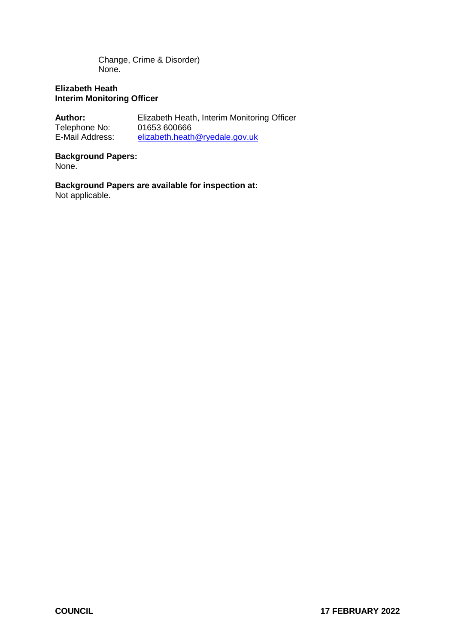Change, Crime & Disorder) None.

# **Elizabeth Heath Interim Monitoring Officer**

| <b>Author:</b>  | Elizabeth Heath, Interim Monitoring Officer |
|-----------------|---------------------------------------------|
| Telephone No:   | 01653 600666                                |
| E-Mail Address: | elizabeth.heath@ryedale.gov.uk              |

# **Background Papers:**

None.

# **Background Papers are available for inspection at:**

Not applicable.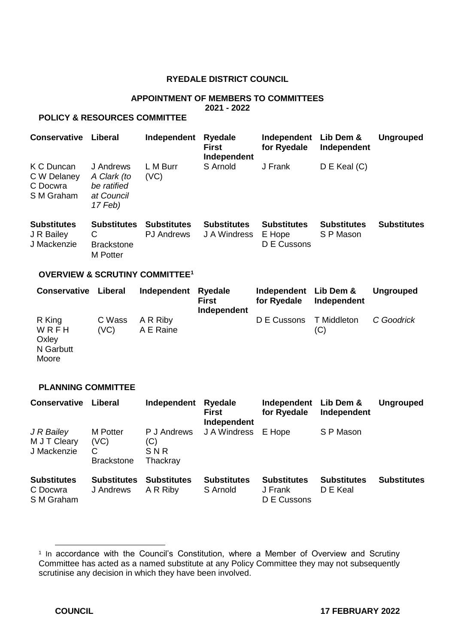# **RYEDALE DISTRICT COUNCIL**

# **APPOINTMENT OF MEMBERS TO COMMITTEES 2021 - 2022**

# **POLICY & RESOURCES COMMITTEE**

| <b>Conservative</b>                                 | Liberal                                                          | Independent                             | <b>Ryedale</b><br><b>First</b><br>Independent | Independent<br>for Ryedale                  | Lib Dem &<br>Independent        | <b>Ungrouped</b>   |
|-----------------------------------------------------|------------------------------------------------------------------|-----------------------------------------|-----------------------------------------------|---------------------------------------------|---------------------------------|--------------------|
| K C Duncan<br>C W Delaney<br>C Docwra<br>S M Graham | J Andrews<br>A Clark (to<br>be ratified<br>at Council<br>17 Feb) | L M Burr<br>(VC)                        | S Arnold                                      | J Frank                                     | $D \in$ Keal $(C)$              |                    |
| <b>Substitutes</b><br>J R Bailey<br>J Mackenzie     | <b>Substitutes</b><br>С<br><b>Brackstone</b><br><b>M</b> Potter  | <b>Substitutes</b><br><b>PJ</b> Andrews | <b>Substitutes</b><br>J A Windress            | <b>Substitutes</b><br>E Hope<br>D E Cussons | <b>Substitutes</b><br>S P Mason | <b>Substitutes</b> |

# **OVERVIEW & SCRUTINY COMMITTEE<sup>1</sup>**

| <b>Conservative</b>          | Liberal | Independent Ryedale | <b>First</b><br>Independent | Independent Lib Dem &<br>for Ryedale | Independent | Ungrouped  |
|------------------------------|---------|---------------------|-----------------------------|--------------------------------------|-------------|------------|
| R King                       |         | C Wass A R Riby     |                             | D E Cussons                          | T Middleton | C Goodrick |
| WRFH<br>Oxley<br>$N$ Corbutt | (VC)    | A E Raine           |                             |                                      | (C)         |            |

N Garbutt Moore

#### **PLANNING COMMITTEE**

| <b>Conservative</b>                          | Liberal                                           | Independent                           | <b>Ryedale</b><br><b>First</b><br>Independent | Independent Lib Dem &<br>for Ryedale         | Independent                    | <b>Ungrouped</b>   |
|----------------------------------------------|---------------------------------------------------|---------------------------------------|-----------------------------------------------|----------------------------------------------|--------------------------------|--------------------|
| J R Bailey<br>M J T Cleary<br>J Mackenzie    | <b>M</b> Potter<br>(VC)<br>С<br><b>Brackstone</b> | P J Andrews<br>(C)<br>SNR<br>Thackray | J A Windress                                  | E Hope                                       | S P Mason                      |                    |
| <b>Substitutes</b><br>C Docwra<br>S M Graham | <b>Substitutes</b><br>J Andrews                   | <b>Substitutes</b><br>A R Riby        | <b>Substitutes</b><br>S Arnold                | <b>Substitutes</b><br>J Frank<br>D E Cussons | <b>Substitutes</b><br>D E Keal | <b>Substitutes</b> |

<sup>&</sup>lt;sup>1</sup> In accordance with the Council's Constitution, where a Member of Overview and Scrutiny Committee has acted as a named substitute at any Policy Committee they may not subsequently scrutinise any decision in which they have been involved.